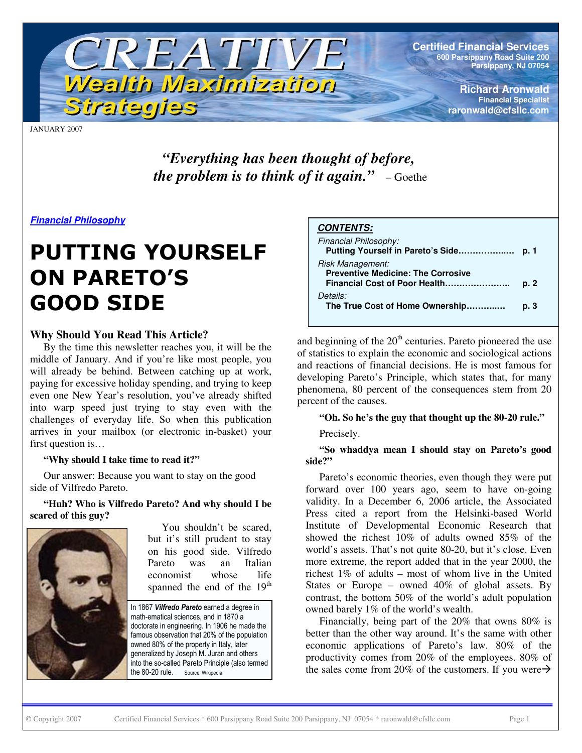

**Certified Financial Services 600 Parsippany Road Suite 200 Parsippany, NJ 07054**

> **Richard Aronwald Financial Specialist raronwald@cfsllc.com**

JANUARY 2007

*"Everything has been thought of before, the problem is to think of it again."* – Goethe

*Financial Philosophy*

# **PUTTING YOURSELF ON PARETO'S GOOD SIDE**

# **Why Should You Read This Article?**

By the time this newsletter reaches you, it will be the middle of January. And if you're like most people, you will already be behind. Between catching up at work, paying for excessive holiday spending, and trying to keep even one New Year's resolution, you've already shifted into warp speed just trying to stay even with the challenges of everyday life. So when this publication arrives in your mailbox (or electronic in-basket) your first question is…

# **"Why should I take time to read it?"**

Our answer: Because you want to stay on the good side of Vilfredo Pareto.

**"Huh? Who is Vilfredo Pareto? And why should I be scared of this guy?**



You shouldn't be scared, but it's still prudent to stay on his good side. Vilfredo Pareto was an Italian economist whose life spanned the end of the 19<sup>th</sup>

In 1867 Vilfredo Pareto earned a degree in math-ematical sciences, and in 1870 a doctorate in engineering. In 1906 he made the famous observation that 20% of the population owned 80% of the property in Italy, later generalized by Joseph M. Juran and others into the so-called Pareto Principle (also termed the 80-20 rule. ule. Source: Wikipedia

#### *CONTENTS:*

| Financial Philosophy:<br>Putting Yourself in Pareto's Side    | D. 1 |
|---------------------------------------------------------------|------|
| Risk Management:<br><b>Preventive Medicine: The Corrosive</b> | p. 2 |
| Details:<br>The True Cost of Home Ownership                   | p. 3 |

and beginning of the  $20<sup>th</sup>$  centuries. Pareto pioneered the use of statistics to explain the economic and sociological actions and reactions of financial decisions. He is most famous for developing Pareto's Principle, which states that, for many phenomena, 80 percent of the consequences stem from 20 percent of the causes.

#### **"Oh. So he's the guy that thought up the 80-20 rule."**

Precisely.

**"So whaddya mean I should stay on Pareto's good side?"**

Pareto's economic theories, even though they were put forward over 100 years ago, seem to have on-going validity. In a December 6, 2006 article, the Associated Press cited a report from the Helsinki-based World Institute of Developmental Economic Research that showed the richest 10% of adults owned 85% of the world's assets. That's not quite 80-20, but it's close. Even more extreme, the report added that in the year 2000, the richest 1% of adults – most of whom live in the United States or Europe – owned 40% of global assets. By contrast, the bottom 50% of the world's adult population owned barely 1% of the world's wealth.

Financially, being part of the 20% that owns 80% is better than the other way around. It's the same with other economic applications of Pareto's law. 80% of the productivity comes from 20% of the employees. 80% of the sales come from 20% of the customers. If you were  $\rightarrow$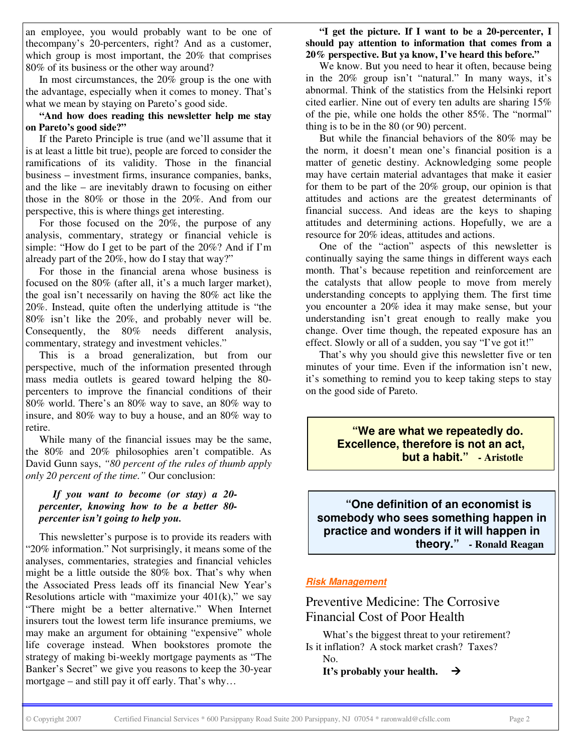an employee, you would probably want to be one of thecompany's 20-percenters, right? And as a customer, which group is most important, the 20% that comprises 80% of its business or the other way around?

In most circumstances, the 20% group is the one with the advantage, especially when it comes to money. That's what we mean by staying on Pareto's good side.

**"And how does reading this newsletter help me stay on Pareto's good side?"**

If the Pareto Principle is true (and we'll assume that it is at least a little bit true), people are forced to consider the ramifications of its validity. Those in the financial business – investment firms, insurance companies, banks, and the like – are inevitably drawn to focusing on either those in the 80% or those in the 20%. And from our perspective, this is where things get interesting.

For those focused on the 20%, the purpose of any analysis, commentary, strategy or financial vehicle is simple: "How do I get to be part of the 20%? And if I'm already part of the 20%, how do I stay that way?"

For those in the financial arena whose business is focused on the 80% (after all, it's a much larger market), the goal isn't necessarily on having the 80% act like the 20%. Instead, quite often the underlying attitude is "the 80% isn't like the 20%, and probably never will be. Consequently, the 80% needs different analysis, commentary, strategy and investment vehicles."

This is a broad generalization, but from our perspective, much of the information presented through mass media outlets is geared toward helping the 80 percenters to improve the financial conditions of their 80% world. There's an 80% way to save, an 80% way to insure, and 80% way to buy a house, and an 80% way to retire.

While many of the financial issues may be the same, the 80% and 20% philosophies aren't compatible. As David Gunn says, *"80 percent of the rules of thumb apply only 20 percent of the time."* Our conclusion:

#### *If you want to become (or stay) a 20 percenter, knowing how to be a better 80 percenter isn't going to help you.*

This newsletter's purpose is to provide its readers with "20% information." Not surprisingly, it means some of the analyses, commentaries, strategies and financial vehicles might be a little outside the 80% box. That's why when the Associated Press leads off its financial New Year's Resolutions article with "maximize your  $401(k)$ ," we say "There might be a better alternative." When Internet insurers tout the lowest term life insurance premiums, we may make an argument for obtaining "expensive" whole life coverage instead. When bookstores promote the strategy of making bi-weekly mortgage payments as "The Banker's Secret" we give you reasons to keep the 30-year mortgage – and still pay it off early. That's why…

**"I get the picture. If I want to be a 20-percenter, I should pay attention to information that comes from a 20% perspective. But ya know, I've heard this before."**

We know. But you need to hear it often, because being in the 20% group isn't "natural." In many ways, it's abnormal. Think of the statistics from the Helsinki report cited earlier. Nine out of every ten adults are sharing 15% of the pie, while one holds the other 85%. The "normal" thing is to be in the 80 (or 90) percent.

But while the financial behaviors of the 80% may be the norm, it doesn't mean one's financial position is a matter of genetic destiny. Acknowledging some people may have certain material advantages that make it easier for them to be part of the 20% group, our opinion is that attitudes and actions are the greatest determinants of financial success. And ideas are the keys to shaping attitudes and determining actions. Hopefully, we are a resource for 20% ideas, attitudes and actions.

One of the "action" aspects of this newsletter is continually saying the same things in different ways each month. That's because repetition and reinforcement are the catalysts that allow people to move from merely understanding concepts to applying them. The first time you encounter a 20% idea it may make sense, but your understanding isn't great enough to really make you change. Over time though, the repeated exposure has an effect. Slowly or all of a sudden, you say "I've got it!"

That's why you should give this newsletter five or ten minutes of your time. Even if the information isn't new, it's something to remind you to keep taking steps to stay on the good side of Pareto.

> **"We are what we repeatedly do. Excellence, therefore is not an act, but a habit." - Aristotle**

**"One definition of an economist is somebody who sees something happen in practice and wonders if it will happen in theory." - Ronald Reagan**

#### *Risk Management*

# Preventive Medicine: The Corrosive Financial Cost of Poor Health

What's the biggest threat to your retirement? Is it inflation? A stock market crash? Taxes? No.

**It's** probably your health.  $\rightarrow$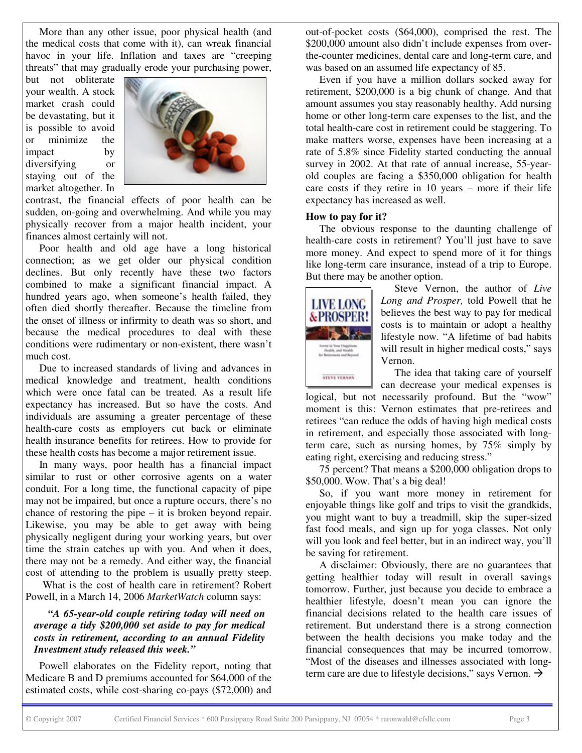More than any other issue, poor physical health (and the medical costs that come with it), can wreak financial havoc in your life. Inflation and taxes are "creeping threats" that may gradually erode your purchasing power,

but not obliterate your wealth. A stock market crash could be devastating, but it is possible to avoid or minimize the impact by diversifying or staying out of the market altogether. In



contrast, the financial effects of poor health can be sudden, on-going and overwhelming. And while you may physically recover from a major health incident, your finances almost certainly will not.

Poor health and old age have a long historical connection; as we get older our physical condition declines. But only recently have these two factors combined to make a significant financial impact. A hundred years ago, when someone's health failed, they often died shortly thereafter. Because the timeline from the onset of illness or infirmity to death was so short, and because the medical procedures to deal with these conditions were rudimentary or non-existent, there wasn't much cost.

Due to increased standards of living and advances in medical knowledge and treatment, health conditions which were once fatal can be treated. As a result life expectancy has increased. But so have the costs. And individuals are assuming a greater percentage of these health-care costs as employers cut back or eliminate health insurance benefits for retirees. How to provide for these health costs has become a major retirement issue.

In many ways, poor health has a financial impact similar to rust or other corrosive agents on a water conduit. For a long time, the functional capacity of pipe may not be impaired, but once a rupture occurs, there's no chance of restoring the pipe – it is broken beyond repair. Likewise, you may be able to get away with being physically negligent during your working years, but over time the strain catches up with you. And when it does, there may not be a remedy. And either way, the financial cost of attending to the problem is usually pretty steep.

What is the cost of health care in retirement? Robert Powell, in a March 14, 2006 *MarketWatch* column says:

*"A 65-year-old couple retiring today will need on average a tidy \$200,000 set aside to pay for medical costs in retirement, according to an annual Fidelity Investment study released this week."*

Powell elaborates on the Fidelity report, noting that Medicare B and D premiums accounted for \$64,000 of the estimated costs, while cost-sharing co-pays (\$72,000) and out-of-pocket costs (\$64,000), comprised the rest. The \$200,000 amount also didn't include expenses from overthe-counter medicines, dental care and long-term care, and was based on an assumed life expectancy of 85.

Even if you have a million dollars socked away for retirement, \$200,000 is a big chunk of change. And that amount assumes you stay reasonably healthy. Add nursing home or other long-term care expenses to the list, and the total health-care cost in retirement could be staggering. To make matters worse, expenses have been increasing at a rate of 5.8% since Fidelity started conducting the annual survey in 2002. At that rate of annual increase, 55-yearold couples are facing a \$350,000 obligation for health care costs if they retire in 10 years – more if their life expectancy has increased as well.

#### **How to pay for it?**

The obvious response to the daunting challenge of health-care costs in retirement? You'll just have to save more money. And expect to spend more of it for things like long-term care insurance, instead of a trip to Europe. But there may be another option.



Steve Vernon, the author of *Live Long and Prosper,* told Powell that he believes the best way to pay for medical costs is to maintain or adopt a healthy lifestyle now. "A lifetime of bad habits will result in higher medical costs," says Vernon.

The idea that taking care of yourself

can decrease your medical expenses is logical, but not necessarily profound. But the "wow" moment is this: Vernon estimates that pre-retirees and retirees "can reduce the odds of having high medical costs in retirement, and especially those associated with longterm care, such as nursing homes, by 75% simply by eating right, exercising and reducing stress."

75 percent? That means a \$200,000 obligation drops to \$50,000. Wow. That's a big deal!

So, if you want more money in retirement for enjoyable things like golf and trips to visit the grandkids, you might want to buy a treadmill, skip the super-sized fast food meals, and sign up for yoga classes. Not only will you look and feel better, but in an indirect way, you'll be saving for retirement.

A disclaimer: Obviously, there are no guarantees that getting healthier today will result in overall savings tomorrow. Further, just because you decide to embrace a healthier lifestyle, doesn't mean you can ignore the financial decisions related to the health care issues of retirement. But understand there is a strong connection between the health decisions you make today and the financial consequences that may be incurred tomorrow. "Most of the diseases and illnesses associated with longterm care are due to lifestyle decisions," says Vernon.  $\rightarrow$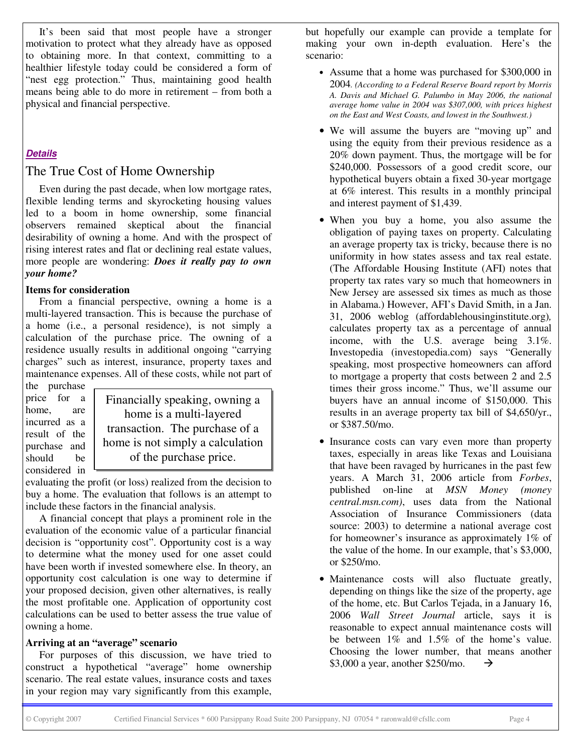It's been said that most people have a stronger motivation to protect what they already have as opposed to obtaining more. In that context, committing to a healthier lifestyle today could be considered a form of "nest egg protection." Thus, maintaining good health means being able to do more in retirement – from both a physical and financial perspective.

# *Details*

# The True Cost of Home Ownership

Even during the past decade, when low mortgage rates, flexible lending terms and skyrocketing housing values led to a boom in home ownership, some financial observers remained skeptical about the financial desirability of owning a home. And with the prospect of rising interest rates and flat or declining real estate values, more people are wondering: *Does it really pay to own your home?*

### **Items for consideration**

From a financial perspective, owning a home is a multi-layered transaction. This is because the purchase of a home (i.e., a personal residence), is not simply a calculation of the purchase price. The owning of a residence usually results in additional ongoing "carrying charges" such as interest, insurance, property taxes and maintenance expenses. All of these costs, while not part of the purchase

price for a home, are incurred as a result of the purchase and should be considered in

Financially speaking, owning a home is a multi-layered transaction. The purchase of a home is not simply a calculation of the purchase price.

evaluating the profit (or loss) realized from the decision to buy a home. The evaluation that follows is an attempt to include these factors in the financial analysis.

A financial concept that plays a prominent role in the evaluation of the economic value of a particular financial decision is "opportunity cost". Opportunity cost is a way to determine what the money used for one asset could have been worth if invested somewhere else. In theory, an opportunity cost calculation is one way to determine if your proposed decision, given other alternatives, is really the most profitable one. Application of opportunity cost calculations can be used to better assess the true value of owning a home.

#### **Arriving at an "average" scenario**

For purposes of this discussion, we have tried to construct a hypothetical "average" home ownership scenario. The real estate values, insurance costs and taxes in your region may vary significantly from this example, but hopefully our example can provide a template for making your own in-depth evaluation. Here's the scenario:

- Assume that a home was purchased for \$300,000 in 2004*. (According to a Federal Reserve Board report by Morris A. Davis and Michael G. Palumbo in May 2006, the national average home value in 2004 was \$307,000, with prices highest on the East and West Coasts, and lowest in the Southwest.)*
- We will assume the buyers are "moving up" and using the equity from their previous residence as a 20% down payment. Thus, the mortgage will be for \$240,000. Possessors of a good credit score, our hypothetical buyers obtain a fixed 30-year mortgage at 6% interest. This results in a monthly principal and interest payment of \$1,439.
- When you buy a home, you also assume the obligation of paying taxes on property. Calculating an average property tax is tricky, because there is no uniformity in how states assess and tax real estate. (The Affordable Housing Institute (AFI) notes that property tax rates vary so much that homeowners in New Jersey are assessed six times as much as those in Alabama.) However, AFI's David Smith, in a Jan. 31, 2006 weblog (affordablehousinginstitute.org)*,* calculates property tax as a percentage of annual income, with the U.S. average being 3.1%. Investopedia (investopedia.com) says "Generally speaking, most prospective homeowners can afford to mortgage a property that costs between 2 and 2.5 times their gross income." Thus, we'll assume our buyers have an annual income of \$150,000. This results in an average property tax bill of \$4,650/yr., or \$387.50/mo.
- Insurance costs can vary even more than property taxes, especially in areas like Texas and Louisiana that have been ravaged by hurricanes in the past few years. A March 31, 2006 article from *Forbes*, published on-line at *MSN Money (money central.msn.com)*, uses data from the National Association of Insurance Commissioners (data source: 2003) to determine a national average cost for homeowner's insurance as approximately 1% of the value of the home. In our example, that's \$3,000, or \$250/mo.
- Maintenance costs will also fluctuate greatly, depending on things like the size of the property, age of the home, etc. But Carlos Tejada, in a January 16, 2006 *Wall Street Journal* article, says it is reasonable to expect annual maintenance costs will be between 1% and 1.5% of the home's value. Choosing the lower number, that means another \$3,000 a year, another \$250/mo.  $\rightarrow$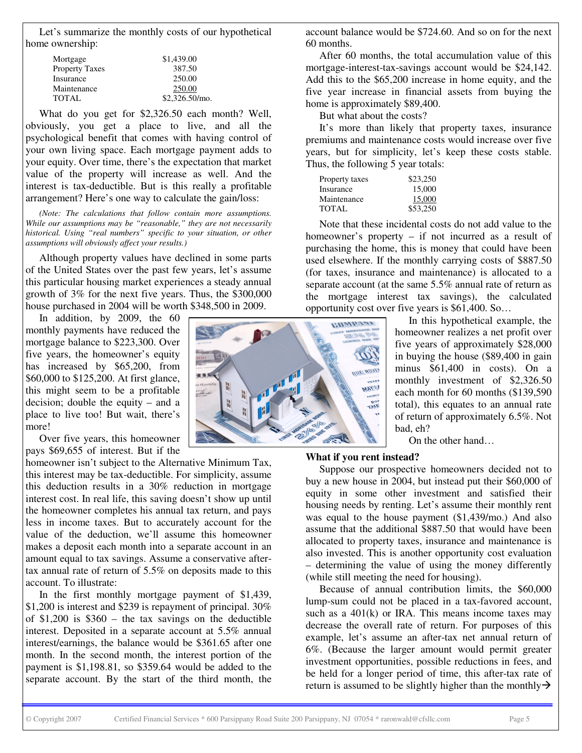Let's summarize the monthly costs of our hypothetical home ownership:

| \$1,439.00       |
|------------------|
| 387.50           |
| 250.00           |
| 250.00           |
| $$2,326.50/m$ o. |
|                  |

What do you get for \$2,326.50 each month? Well, obviously, you get a place to live, and all the psychological benefit that comes with having control of your own living space. Each mortgage payment adds to your equity. Over time, there's the expectation that market value of the property will increase as well. And the interest is tax-deductible. But is this really a profitable arrangement? Here's one way to calculate the gain/loss:

*(Note: The calculations that follow contain more assumptions. While our assumptions may be "reasonable," they are not necessarily historical. Using "real numbers" specific to your situation, or other assumptions will obviously affect your results.)*

Although property values have declined in some parts of the United States over the past few years, let's assume this particular housing market experiences a steady annual growth of 3% for the next five years. Thus, the \$300,000 house purchased in 2004 will be worth \$348,500 in 2009.

In addition, by 2009, the 60 monthly payments have reduced the mortgage balance to \$223,300. Over five years, the homeowner's equity has increased by \$65,200, from \$60,000 to \$125,200. At first glance, this might seem to be a profitable decision; double the equity – and a place to live too! But wait, there's more!

Over five years, this homeowner pays \$69,655 of interest. But if the

homeowner isn't subject to the Alternative Minimum Tax, this interest may be tax-deductible. For simplicity, assume this deduction results in a 30% reduction in mortgage interest cost. In real life, this saving doesn't show up until the homeowner completes his annual tax return, and pays less in income taxes. But to accurately account for the value of the deduction, we'll assume this homeowner makes a deposit each month into a separate account in an amount equal to tax savings. Assume a conservative aftertax annual rate of return of 5.5% on deposits made to this account. To illustrate:

In the first monthly mortgage payment of \$1,439, \$1,200 is interest and \$239 is repayment of principal. 30% of \$1,200 is \$360 – the tax savings on the deductible interest. Deposited in a separate account at 5.5% annual interest/earnings, the balance would be \$361.65 after one month. In the second month, the interest portion of the payment is \$1,198.81, so \$359.64 would be added to the separate account. By the start of the third month, the



account balance would be \$724.60. And so on for the next 60 months.

After 60 months, the total accumulation value of this mortgage-interest-tax-savings account would be \$24,142. Add this to the \$65,200 increase in home equity, and the five year increase in financial assets from buying the home is approximately \$89,400.

But what about the costs?

It's more than likely that property taxes, insurance premiums and maintenance costs would increase over five years, but for simplicity, let's keep these costs stable. Thus, the following 5 year totals:

| Property taxes | \$23,250 |
|----------------|----------|
| Insurance      | 15,000   |
| Maintenance    | 15,000   |
| TOTAL          | \$53,250 |

Note that these incidental costs do not add value to the homeowner's property – if not incurred as a result of purchasing the home, this is money that could have been used elsewhere. If the monthly carrying costs of \$887.50 (for taxes, insurance and maintenance) is allocated to a separate account (at the same 5.5% annual rate of return as the mortgage interest tax savings), the calculated opportunity cost over five years is \$61,400. So…

> In this hypothetical example, the homeowner realizes a net profit over five years of approximately \$28,000 in buying the house (\$89,400 in gain minus \$61,400 in costs). On a monthly investment of \$2,326.50 each month for 60 months (\$139,590 total), this equates to an annual rate of return of approximately 6.5%. Not bad, eh?

On the other hand…

#### **What if you rent instead?**

Suppose our prospective homeowners decided not to buy a new house in 2004, but instead put their \$60,000 of equity in some other investment and satisfied their housing needs by renting. Let's assume their monthly rent was equal to the house payment (\$1,439/mo.) And also assume that the additional \$887.50 that would have been allocated to property taxes, insurance and maintenance is also invested. This is another opportunity cost evaluation – determining the value of using the money differently (while still meeting the need for housing).

Because of annual contribution limits, the \$60,000 lump-sum could not be placed in a tax-favored account, such as a  $401(k)$  or IRA. This means income taxes may decrease the overall rate of return. For purposes of this example, let's assume an after-tax net annual return of 6%. (Because the larger amount would permit greater investment opportunities, possible reductions in fees, and be held for a longer period of time, this after-tax rate of return is assumed to be slightly higher than the monthly  $\rightarrow$